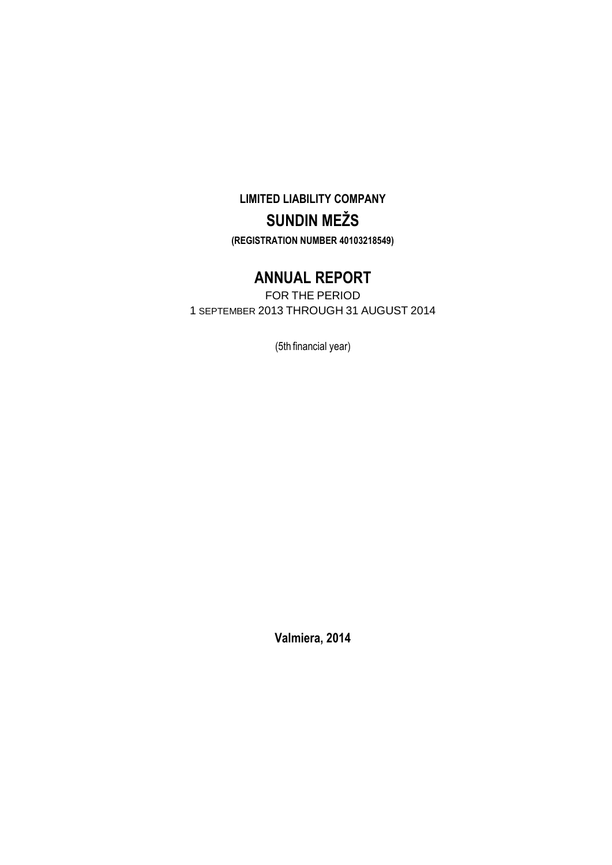# **LIMITED LIABILITY COMPANY SUNDIN MEŽS (REGISTRATION NUMBER 40103218549)**

# **ANNUAL REPORT**

FOR THE PERIOD 1 SEPTEMBER 2013 THROUGH 31 AUGUST 2014

(5th financial year)

**Valmiera, 2014**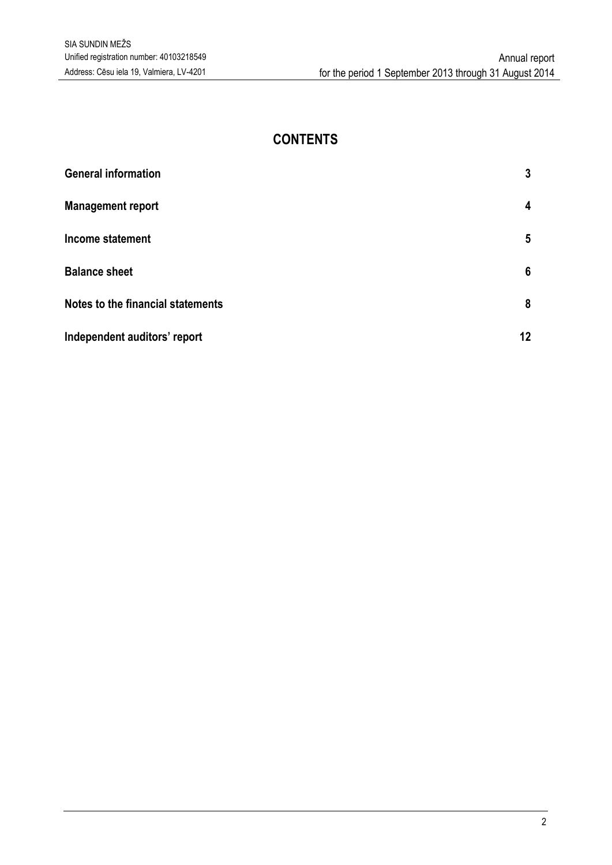## **CONTENTS**

| <b>General information</b>        | 3  |
|-----------------------------------|----|
| <b>Management report</b>          | 4  |
| Income statement                  | 5  |
| <b>Balance sheet</b>              | 6  |
| Notes to the financial statements | 8  |
| Independent auditors' report      | 12 |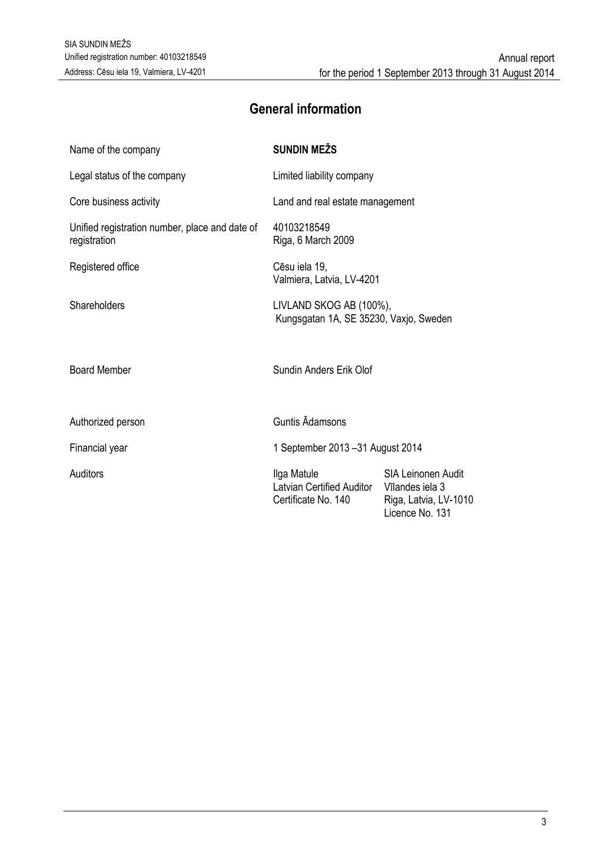# **General information**

<span id="page-2-0"></span>

| Name of the company                                            | <b>SUNDIN MEŽS</b>                                                |                                                                                          |  |
|----------------------------------------------------------------|-------------------------------------------------------------------|------------------------------------------------------------------------------------------|--|
| Legal status of the company                                    | Limited liability company                                         |                                                                                          |  |
| Core business activity                                         | Land and real estate management                                   |                                                                                          |  |
| Unified registration number, place and date of<br>registration | 40103218549<br>Riga, 6 March 2009                                 |                                                                                          |  |
| Registered office                                              | Cēsu iela 19,<br>Valmiera, Latvia, LV-4201                        |                                                                                          |  |
| Shareholders                                                   | LIVLAND SKOG AB (100%),<br>Kungsgatan 1A, SE 35230, Vaxjo, Sweden |                                                                                          |  |
| <b>Board Member</b>                                            | Sundin Anders Erik Olof                                           |                                                                                          |  |
| Authorized person                                              | <b>Guntis Adamsons</b>                                            |                                                                                          |  |
| Financial year                                                 | 1 September 2013 - 31 August 2014                                 |                                                                                          |  |
| Auditors                                                       | Ilga Matule<br>Latvian Certified Auditor<br>Certificate No. 140   | <b>SIA Leinonen Audit</b><br>Vīlandes iela 3<br>Riga, Latvia, LV-1010<br>Licence No. 131 |  |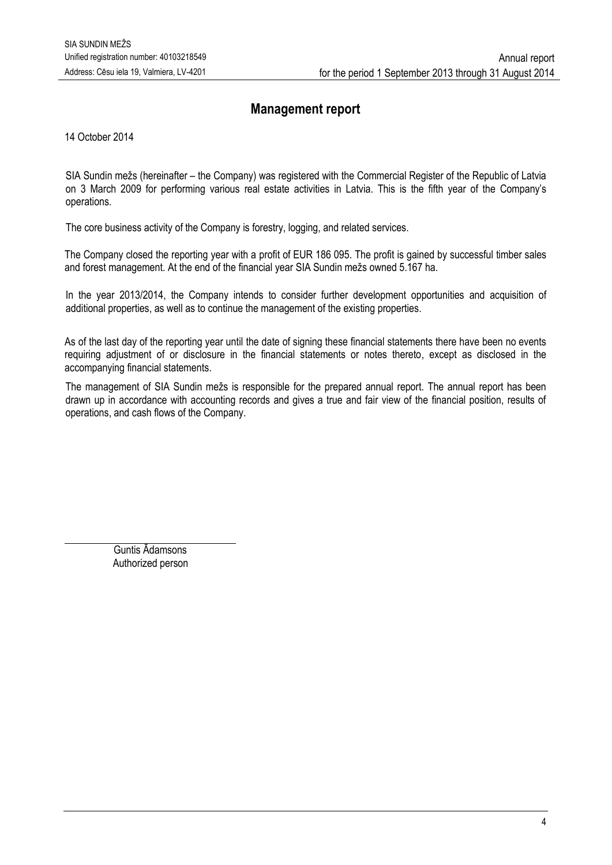## **Management report**

<span id="page-3-0"></span>14 October 2014

SIA Sundin mežs (hereinafter – the Company) was registered with the Commercial Register of the Republic of Latvia on 3 March 2009 for performing various real estate activities in Latvia. This is the fifth year of the Company's operations.

The core business activity of the Company is forestry, logging, and related services.

The Company closed the reporting year with a profit of EUR 186 095. The profit is gained by successful timber sales and forest management. At the end of the financial year SIA Sundin mežs owned 5.167 ha.

In the year 2013/2014, the Company intends to consider further development opportunities and acquisition of additional properties, as well as to continue the management of the existing properties.

As of the last day of the reporting year until the date of signing these financial statements there have been no events requiring adjustment of or disclosure in the financial statements or notes thereto, except as disclosed in the accompanying financial statements.

The management of SIA Sundin mežs is responsible for the prepared annual report. The annual report has been drawn up in accordance with accounting records and gives a true and fair view of the financial position, results of operations, and cash flows of the Company.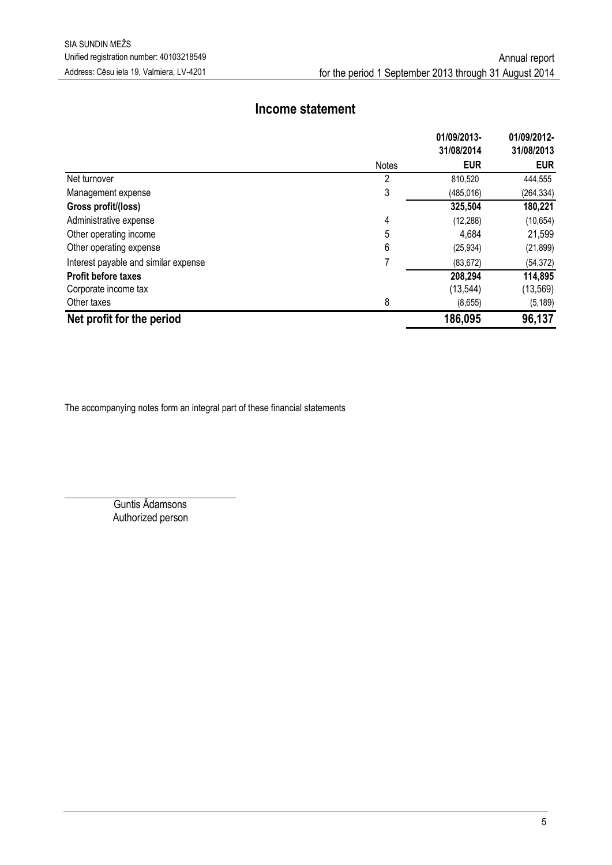## **Income statement**

<span id="page-4-0"></span>

|                                      |              | 01/09/2013- | 01/09/2012- |
|--------------------------------------|--------------|-------------|-------------|
|                                      |              | 31/08/2014  | 31/08/2013  |
|                                      | <b>Notes</b> | <b>EUR</b>  | <b>EUR</b>  |
| Net turnover                         | 2            | 810.520     | 444,555     |
| Management expense                   | 3            | (485, 016)  | (264, 334)  |
| Gross profit/(loss)                  |              | 325,504     | 180,221     |
| Administrative expense               | 4            | (12, 288)   | (10, 654)   |
| Other operating income               | 5            | 4,684       | 21,599      |
| Other operating expense              | 6            | (25, 934)   | (21, 899)   |
| Interest payable and similar expense |              | (83, 672)   | (54, 372)   |
| <b>Profit before taxes</b>           |              | 208,294     | 114,895     |
| Corporate income tax                 |              | (13, 544)   | (13, 569)   |
| Other taxes                          | 8            | (8,655)     | (5, 189)    |
| Net profit for the period            |              | 186,095     | 96,137      |

The accompanying notes form an integral part of these financial statements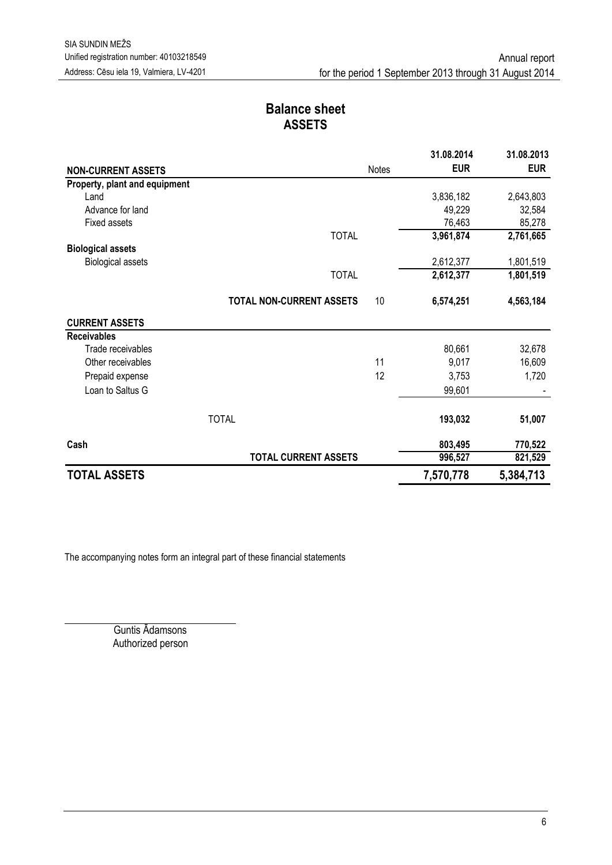## **Balance sheet ASSETS**

<span id="page-5-0"></span>

|                               |                                 |       | 31.08.2014 | 31.08.2013 |
|-------------------------------|---------------------------------|-------|------------|------------|
| <b>NON-CURRENT ASSETS</b>     |                                 | Notes | <b>EUR</b> | <b>EUR</b> |
| Property, plant and equipment |                                 |       |            |            |
| Land                          |                                 |       | 3,836,182  | 2,643,803  |
| Advance for land              |                                 |       | 49,229     | 32,584     |
| <b>Fixed assets</b>           |                                 |       | 76,463     | 85,278     |
|                               | <b>TOTAL</b>                    |       | 3,961,874  | 2,761,665  |
| <b>Biological assets</b>      |                                 |       |            |            |
| <b>Biological assets</b>      |                                 |       | 2,612,377  | 1,801,519  |
|                               | <b>TOTAL</b>                    |       | 2,612,377  | 1,801,519  |
|                               | <b>TOTAL NON-CURRENT ASSETS</b> | 10    | 6,574,251  | 4,563,184  |
| <b>CURRENT ASSETS</b>         |                                 |       |            |            |
| <b>Receivables</b>            |                                 |       |            |            |
| Trade receivables             |                                 |       | 80,661     | 32,678     |
| Other receivables             |                                 | 11    | 9,017      | 16,609     |
| Prepaid expense               |                                 | 12    | 3,753      | 1,720      |
| Loan to Saltus G              |                                 |       | 99,601     |            |
|                               | <b>TOTAL</b>                    |       | 193,032    | 51,007     |
| Cash                          |                                 |       | 803,495    | 770,522    |
|                               | <b>TOTAL CURRENT ASSETS</b>     |       | 996,527    | 821,529    |
| <b>TOTAL ASSETS</b>           |                                 |       | 7,570,778  | 5,384,713  |

The accompanying notes form an integral part of these financial statements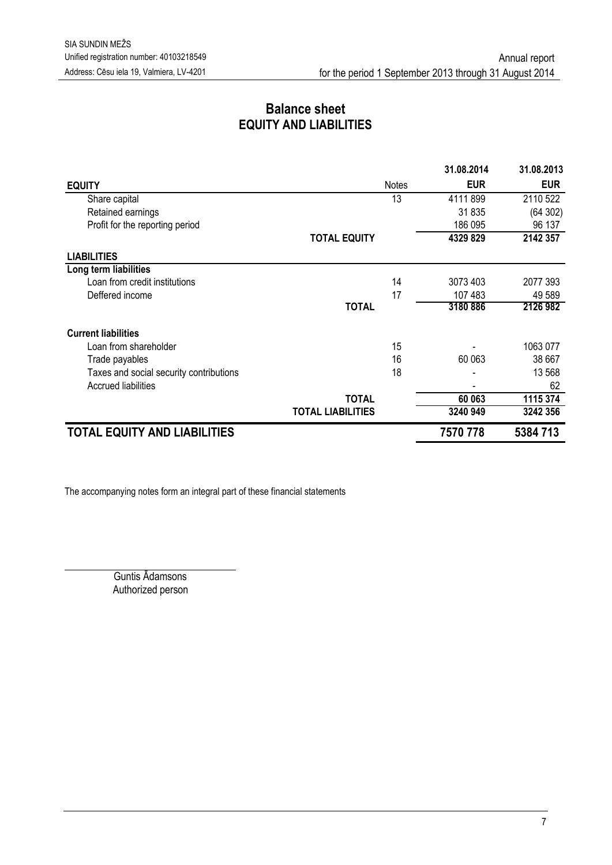## **Balance sheet EQUITY AND LIABILITIES**

|                                         |                          |              | 31.08.2014 | 31.08.2013 |
|-----------------------------------------|--------------------------|--------------|------------|------------|
| <b>EQUITY</b>                           |                          | <b>Notes</b> | <b>EUR</b> | <b>EUR</b> |
| Share capital                           |                          | 13           | 4111899    | 2110 522   |
| Retained earnings                       |                          |              | 31835      | (64302)    |
| Profit for the reporting period         |                          |              | 186 095    | 96 137     |
|                                         | <b>TOTAL EQUITY</b>      |              | 4329 829   | 2142 357   |
| <b>LIABILITIES</b>                      |                          |              |            |            |
| Long term liabilities                   |                          |              |            |            |
| Loan from credit institutions           |                          | 14           | 3073 403   | 2077 393   |
| Deffered income                         |                          | 17           | 107 483    | 49 589     |
|                                         | <b>TOTAL</b>             |              | 3180886    | 2126 982   |
| <b>Current liabilities</b>              |                          |              |            |            |
| Loan from shareholder                   |                          | 15           |            | 1063 077   |
| Trade payables                          |                          | 16           | 60 063     | 38 667     |
| Taxes and social security contributions |                          | 18           |            | 13 568     |
| <b>Accrued liabilities</b>              |                          |              |            | 62         |
|                                         | <b>TOTAL</b>             |              | 60 063     | 1115 374   |
|                                         | <b>TOTAL LIABILITIES</b> |              | 3240 949   | 3242 356   |
| <b>TOTAL EQUITY AND LIABILITIES</b>     |                          |              | 7570 778   | 5384713    |

The accompanying notes form an integral part of these financial statements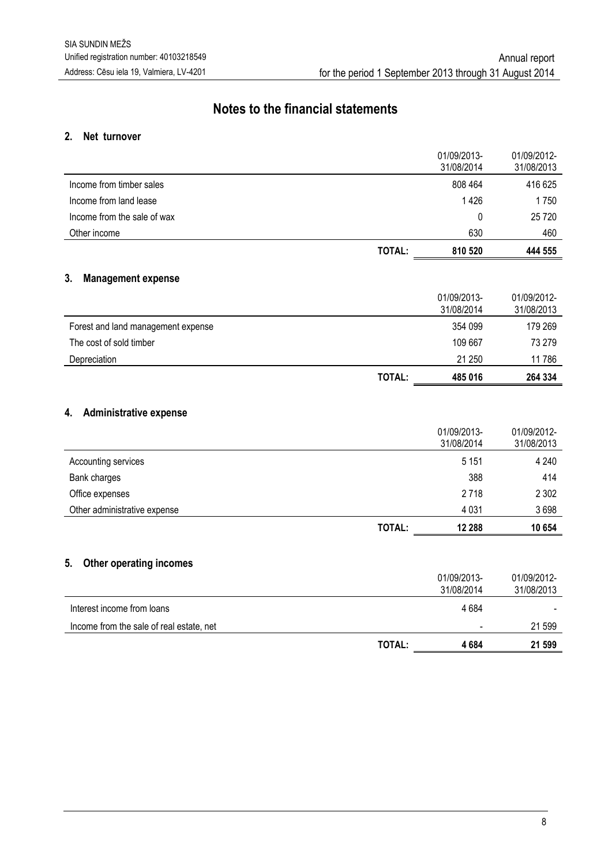## **Notes to the financial statements**

#### <span id="page-7-0"></span>**2. Net turnover**

|                             | TOTAL: | 810 520                   | 444 555                   |
|-----------------------------|--------|---------------------------|---------------------------|
| Other income                |        | 630                       | 460                       |
| Income from the sale of wax |        | 0                         | 25 7 20                   |
| Income from land lease      |        | 1426                      | 1750                      |
| Income from timber sales    |        | 808 464                   | 416 625                   |
|                             |        | 01/09/2013-<br>31/08/2014 | 01/09/2012-<br>31/08/2013 |

#### **3. Management expense**

|                                    | <b>TOTAL:</b> | 485 016                   | 264 334                   |
|------------------------------------|---------------|---------------------------|---------------------------|
| Depreciation                       |               | 21 250                    | 11 786                    |
| The cost of sold timber            |               | 109 667                   | 73 279                    |
| Forest and land management expense |               | 354 099                   | 179 269                   |
|                                    |               | 01/09/2013-<br>31/08/2014 | 01/09/2012-<br>31/08/2013 |

### **4. Administrative expense**

|                              |               | 01/09/2013-<br>31/08/2014 | 01/09/2012-<br>31/08/2013 |
|------------------------------|---------------|---------------------------|---------------------------|
| Accounting services          |               | 5 1 5 1                   | 4 2 4 0                   |
| Bank charges                 |               | 388                       | 414                       |
| Office expenses              |               | 2 7 1 8                   | 2 3 0 2                   |
| Other administrative expense |               | 4 0 3 1                   | 3698                      |
|                              | <b>TOTAL:</b> | 12 288                    | 10 654                    |

#### **5. Other operating incomes**

|                                          | TOTAL: | 4 684                     | 21 599                    |
|------------------------------------------|--------|---------------------------|---------------------------|
| Income from the sale of real estate, net |        | $\overline{\phantom{a}}$  | 21 599                    |
| Interest income from loans               |        | 4684                      |                           |
|                                          |        | 01/09/2013-<br>31/08/2014 | 01/09/2012-<br>31/08/2013 |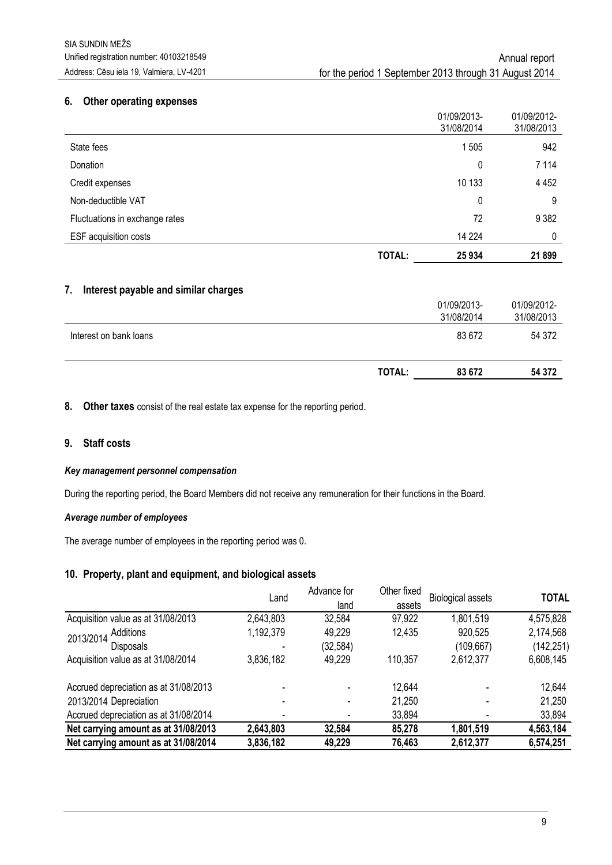#### **6. Other operating expenses**

|                                |        | 31/08/2014 | 31/08/2013 |
|--------------------------------|--------|------------|------------|
| State fees                     |        | 1505       | 942        |
| Donation                       |        | 0          | 7 1 1 4    |
| Credit expenses                |        | 10 133     | 4 4 5 2    |
| Non-deductible VAT             |        | 0          | 9          |
| Fluctuations in exchange rates |        | 72         | 9 3 8 2    |
| <b>ESF</b> acquisition costs   |        | 14 2 24    | 0          |
|                                | TOTAL: | 25 934     | 21899      |

#### **7. Interest payable and similar charges**

|                        | <b>TOTAL:</b> | 83 672      | 54 372      |
|------------------------|---------------|-------------|-------------|
| Interest on bank loans |               | 83 672      | 54 372      |
|                        |               |             |             |
|                        |               | 31/08/2014  | 31/08/2013  |
|                        |               | 01/09/2013- | 01/09/2012- |

**8. Other taxes** consist of the real estate tax expense for the reporting period.

#### **9. Staff costs**

#### *Key management personnel compensation*

During the reporting period, the Board Members did not receive any remuneration for their functions in the Board.

#### *Average number of employees*

The average number of employees in the reporting period was 0.

#### **10. Property, plant and equipment, and biological assets**

|                                       | Land      | Advance for | Other fixed | <b>Biological assets</b> | <b>TOTAL</b> |
|---------------------------------------|-----------|-------------|-------------|--------------------------|--------------|
|                                       |           | land        | assets      |                          |              |
| Acquisition value as at 31/08/2013    | 2,643,803 | 32,584      | 97,922      | 1,801,519                | 4,575,828    |
| Additions<br>2013/2014                | 1,192,379 | 49,229      | 12,435      | 920,525                  | 2,174,568    |
| <b>Disposals</b>                      |           | (32, 584)   |             | (109,667)                | (142, 251)   |
| Acquisition value as at 31/08/2014    | 3,836,182 | 49,229      | 110,357     | 2,612,377                | 6,608,145    |
| Accrued depreciation as at 31/08/2013 |           |             | 12,644      |                          | 12,644       |
| 2013/2014 Depreciation                |           |             | 21,250      |                          | 21,250       |
| Accrued depreciation as at 31/08/2014 |           |             | 33,894      |                          | 33,894       |
| Net carrying amount as at 31/08/2013  | 2,643,803 | 32,584      | 85,278      | 1,801,519                | 4,563,184    |
| Net carrying amount as at 31/08/2014  | 3,836,182 | 49,229      | 76,463      | 2,612,377                | 6,574,251    |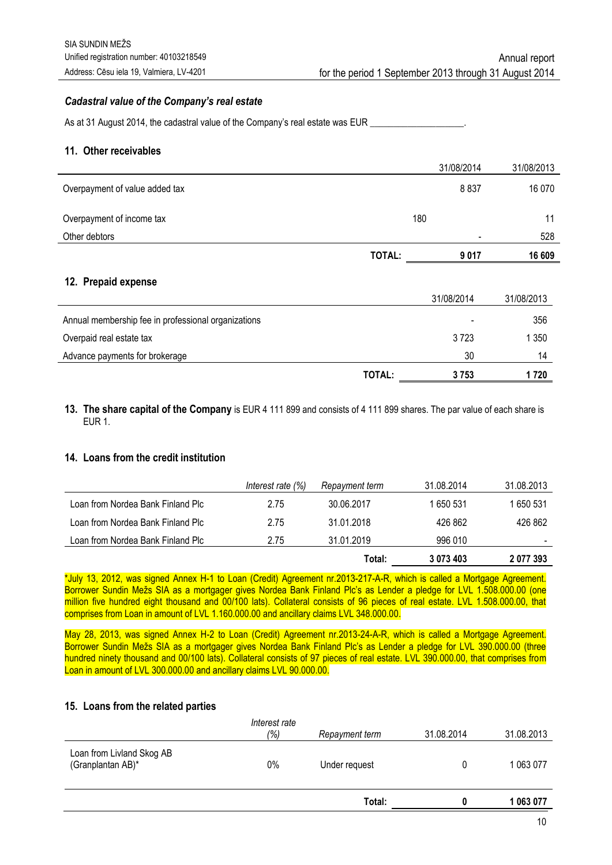#### *Cadastral value of the Company's real estate*

As at 31 August 2014, the cadastral value of the Company's real estate was EUR \_\_\_\_\_\_\_\_\_\_\_\_\_\_\_\_\_\_\_\_.

#### **11. Other receivables**

|                                                     |               | 31/08/2014 | 31/08/2013 |
|-----------------------------------------------------|---------------|------------|------------|
| Overpayment of value added tax                      |               | 8837       | 16 0 70    |
| Overpayment of income tax                           | 180           |            | 11         |
| Other debtors                                       |               |            | 528        |
|                                                     | TOTAL:        | 9 0 1 7    | 16 609     |
| 12. Prepaid expense                                 |               | 31/08/2014 | 31/08/2013 |
| Annual membership fee in professional organizations |               |            | 356        |
| Overpaid real estate tax                            |               | 3723       | 1 3 5 0    |
| Advance payments for brokerage                      |               | 30         | 14         |
|                                                     | <b>TOTAL:</b> | 3753       | 1720       |

#### **13. The share capital of the Company** is EUR 4 111 899 and consists of 4 111 899 shares. The par value of each share is EUR 1.

#### **14. Loans from the credit institution**

|                                   | Interest rate (%) | Repayment term | 31.08.2014 | 31.08.2013 |
|-----------------------------------|-------------------|----------------|------------|------------|
| Loan from Nordea Bank Finland Plc | 2.75              | 30.06.2017     | 650 531    | 650 531    |
| Loan from Nordea Bank Finland Plc | 2.75              | 31.01.2018     | 426 862    | 426 862    |
| Loan from Nordea Bank Finland Plc | 2.75              | 31.01.2019     | 996 010    |            |
|                                   |                   | Total:         | 3073403    | 2 077 393  |

\*July 13, 2012, was signed Annex H-1 to Loan (Credit) Agreement nr.2013-217-A-R, which is called a Mortgage Agreement. Borrower Sundin Mežs SIA as a mortgager gives Nordea Bank Finland Plc's as Lender a pledge for LVL 1.508.000.00 (one million five hundred eight thousand and 00/100 lats). Collateral consists of 96 pieces of real estate. LVL 1.508.000.00, that comprises from Loan in amount of LVL 1.160.000.00 and ancillary claims LVL 348.000.00.

May 28, 2013, was signed Annex H-2 to Loan (Credit) Agreement nr.2013-24-A-R, which is called a Mortgage Agreement. Borrower Sundin Mežs SIA as a mortgager gives Nordea Bank Finland Plc's as Lender a pledge for LVL 390.000.00 (three hundred ninety thousand and 00/100 lats). Collateral consists of 97 pieces of real estate. LVL 390.000.00, that comprises from Loan in amount of LVL 300.000.00 and ancillary claims LVL 90.000.00.

#### **15. Loans from the related parties**

|                                                |                      | Total:         |            | 1 063 077  |
|------------------------------------------------|----------------------|----------------|------------|------------|
| Loan from Livland Skog AB<br>(Granplantan AB)* | 0%                   | Under request  | $\Omega$   | 1 063 077  |
|                                                | Interest rate<br>(%) | Repayment term | 31.08.2014 | 31.08.2013 |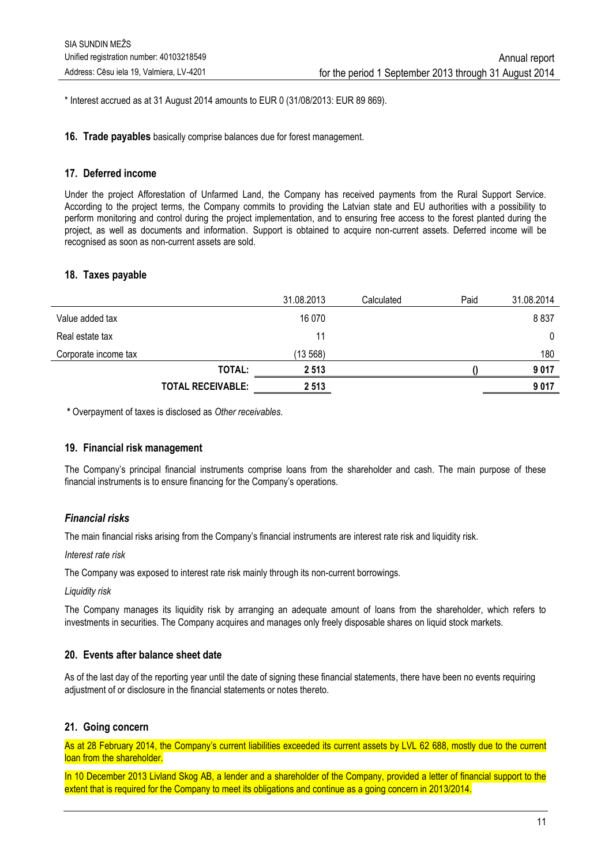\* Interest accrued as at 31 August 2014 amounts to EUR 0 (31/08/2013: EUR 89 869).

**16. Trade payables** basically comprise balances due for forest management.

#### **17. Deferred income**

Under the project Afforestation of Unfarmed Land, the Company has received payments from the Rural Support Service. According to the project terms, the Company commits to providing the Latvian state and EU authorities with a possibility to perform monitoring and control during the project implementation, and to ensuring free access to the forest planted during the project, as well as documents and information. Support is obtained to acquire non-current assets. Deferred income will be recognised as soon as non-current assets are sold.

#### **18. Taxes payable**

|                      |                          | 31.08.2013 | Calculated | Paid | 31.08.2014   |
|----------------------|--------------------------|------------|------------|------|--------------|
| Value added tax      |                          | 16 070     |            |      | 8837         |
| Real estate tax      |                          | 11         |            |      | $\mathbf{0}$ |
| Corporate income tax |                          | (13568)    |            |      | 180          |
|                      | <b>TOTAL:</b>            | 2 5 1 3    |            |      | 9017         |
|                      | <b>TOTAL RECEIVABLE:</b> | 2 5 1 3    |            |      | 9017         |
|                      |                          |            |            |      |              |

**\*** Overpayment of taxes is disclosed as *Other receivables*.

#### **19. Financial risk management**

The Company's principal financial instruments comprise loans from the shareholder and cash. The main purpose of these financial instruments is to ensure financing for the Company's operations.

#### *Financial risks*

The main financial risks arising from the Company's financial instruments are interest rate risk and liquidity risk.

#### *Interest rate risk*

The Company was exposed to interest rate risk mainly through its non-current borrowings.

#### *Liquidity risk*

The Company manages its liquidity risk by arranging an adequate amount of loans from the shareholder, which refers to investments in securities. The Company acquires and manages only freely disposable shares on liquid stock markets.

#### **20. Events after balance sheet date**

As of the last day of the reporting year until the date of signing these financial statements, there have been no events requiring adjustment of or disclosure in the financial statements or notes thereto.

#### **21. Going concern**

As at 28 February 2014, the Company's current liabilities exceeded its current assets by LVL 62 688, mostly due to the current loan from the shareholder.

In 10 December 2013 Livland Skog AB, a lender and a shareholder of the Company, provided a letter of financial support to the extent that is required for the Company to meet its obligations and continue as a going concern in 2013/2014.